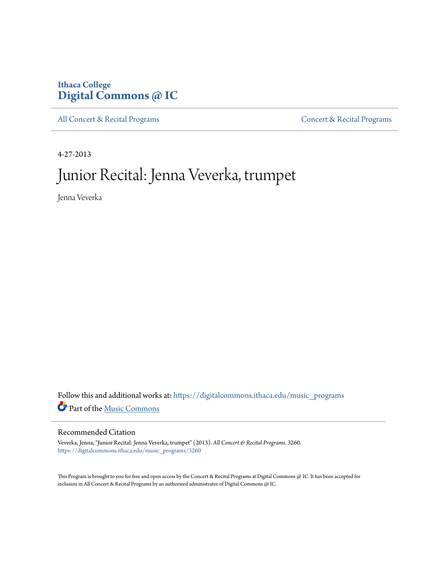## **Ithaca College [Digital Commons @ IC](https://digitalcommons.ithaca.edu?utm_source=digitalcommons.ithaca.edu%2Fmusic_programs%2F3260&utm_medium=PDF&utm_campaign=PDFCoverPages)**

[All Concert & Recital Programs](https://digitalcommons.ithaca.edu/music_programs?utm_source=digitalcommons.ithaca.edu%2Fmusic_programs%2F3260&utm_medium=PDF&utm_campaign=PDFCoverPages) **[Concert & Recital Programs](https://digitalcommons.ithaca.edu/som_programs?utm_source=digitalcommons.ithaca.edu%2Fmusic_programs%2F3260&utm_medium=PDF&utm_campaign=PDFCoverPages)** 

4-27-2013

# Junior Recital: Jenna Veverka, trumpet

Jenna Veverka

Follow this and additional works at: [https://digitalcommons.ithaca.edu/music\\_programs](https://digitalcommons.ithaca.edu/music_programs?utm_source=digitalcommons.ithaca.edu%2Fmusic_programs%2F3260&utm_medium=PDF&utm_campaign=PDFCoverPages) Part of the [Music Commons](http://network.bepress.com/hgg/discipline/518?utm_source=digitalcommons.ithaca.edu%2Fmusic_programs%2F3260&utm_medium=PDF&utm_campaign=PDFCoverPages)

#### Recommended Citation

Veverka, Jenna, "Junior Recital: Jenna Veverka, trumpet" (2013). *All Concert & Recital Programs*. 3260. [https://digitalcommons.ithaca.edu/music\\_programs/3260](https://digitalcommons.ithaca.edu/music_programs/3260?utm_source=digitalcommons.ithaca.edu%2Fmusic_programs%2F3260&utm_medium=PDF&utm_campaign=PDFCoverPages)

This Program is brought to you for free and open access by the Concert & Recital Programs at Digital Commons @ IC. It has been accepted for inclusion in All Concert & Recital Programs by an authorized administrator of Digital Commons @ IC.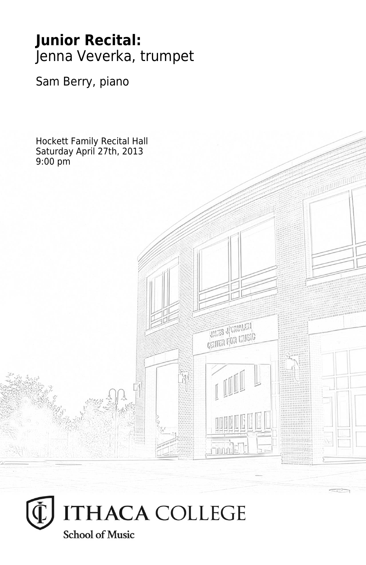## **Junior Recital:** Jenna Veverka, trumpet

Sam Berry, piano

Hockett Family Recital Hall Saturday April 27th, 2013 9:00 pm**THES JUVANIEN CRITER FOR MUSIC Thum** 

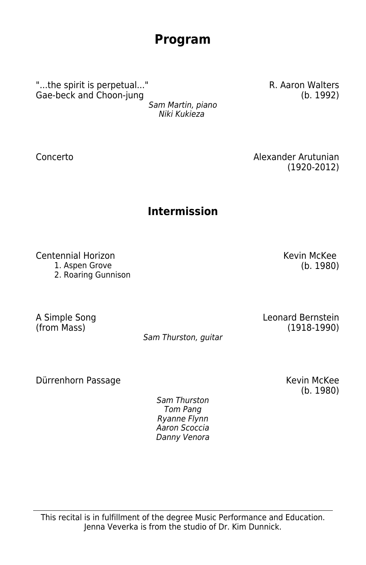This recital is in fulfillment of the degree Music Performance and Education. Jenna Veverka is from the studio of Dr. Kim Dunnick.

## **Program**

"...the spirit is perpetual..." Gae-beck and Choon-jung

Sam Martin, piano Niki Kukieza

Concerto Alexander Arutunian

(1920-2012)

## **Intermission**

Centennial Horizon Kevin McKee

1. Aspen Grove (b. 1980)

2. Roaring Gunnison

A Simple Song (from Mass)

Sam Thurston, guitar

Dürrenhorn Passage Kevin McKee

Sam Thurston Tom Pang Ryanne Flynn Aaron Scoccia Danny Venora (b. 1980)

Leonard Bernstein (1918-1990)

R. Aaron Walters (b. 1992)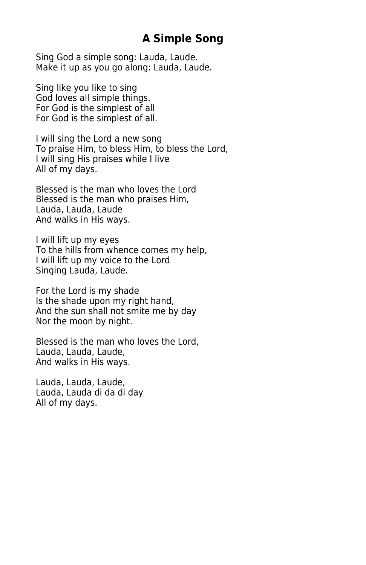### **A Simple Song**

Sing God a simple song: Lauda, Laude. Make it up as you go along: Lauda, Laude.

Sing like you like to sing God loves all simple things. For God is the simplest of all For God is the simplest of all.

I will sing the Lord a new song To praise Him, to bless Him, to bless the Lord, I will sing His praises while I live All of my days.

Blessed is the man who loves the Lord Blessed is the man who praises Him, Lauda, Lauda, Laude And walks in His ways.

I will lift up my eyes To the hills from whence comes my help, I will lift up my voice to the Lord Singing Lauda, Laude.

For the Lord is my shade Is the shade upon my right hand, And the sun shall not smite me by day Nor the moon by night.

Blessed is the man who loves the Lord, Lauda, Lauda, Laude, And walks in His ways.

Lauda, Lauda, Laude, Lauda, Lauda di da di day All of my days.